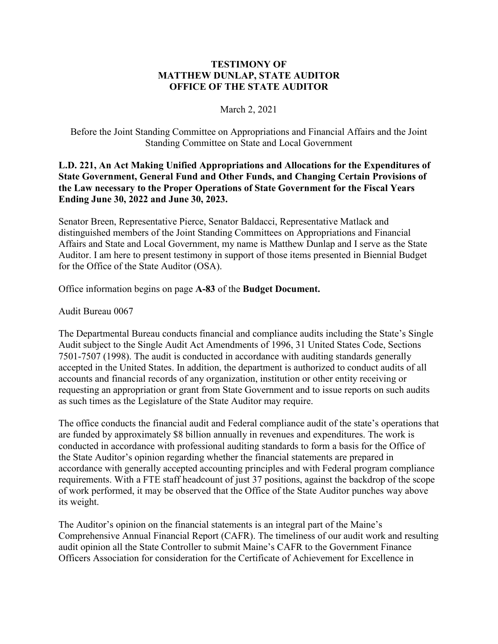## **TESTIMONY OF MATTHEW DUNLAP, STATE AUDITOR OFFICE OF THE STATE AUDITOR**

## March 2, 2021

Before the Joint Standing Committee on Appropriations and Financial Affairs and the Joint Standing Committee on State and Local Government

## **L.D. 221, An Act Making Unified Appropriations and Allocations for the Expenditures of State Government, General Fund and Other Funds, and Changing Certain Provisions of the Law necessary to the Proper Operations of State Government for the Fiscal Years Ending June 30, 2022 and June 30, 2023.**

Senator Breen, Representative Pierce, Senator Baldacci, Representative Matlack and distinguished members of the Joint Standing Committees on Appropriations and Financial Affairs and State and Local Government, my name is Matthew Dunlap and I serve as the State Auditor. I am here to present testimony in support of those items presented in Biennial Budget for the Office of the State Auditor (OSA).

Office information begins on page **A-83** of the **Budget Document.**

Audit Bureau 0067

The Departmental Bureau conducts financial and compliance audits including the State's Single Audit subject to the Single Audit Act Amendments of 1996, 31 United States Code, Sections 7501-7507 (1998). The audit is conducted in accordance with auditing standards generally accepted in the United States. In addition, the department is authorized to conduct audits of all accounts and financial records of any organization, institution or other entity receiving or requesting an appropriation or grant from State Government and to issue reports on such audits as such times as the Legislature of the State Auditor may require.

The office conducts the financial audit and Federal compliance audit of the state's operations that are funded by approximately \$8 billion annually in revenues and expenditures. The work is conducted in accordance with professional auditing standards to form a basis for the Office of the State Auditor's opinion regarding whether the financial statements are prepared in accordance with generally accepted accounting principles and with Federal program compliance requirements. With a FTE staff headcount of just 37 positions, against the backdrop of the scope of work performed, it may be observed that the Office of the State Auditor punches way above its weight.

The Auditor's opinion on the financial statements is an integral part of the Maine's Comprehensive Annual Financial Report (CAFR). The timeliness of our audit work and resulting audit opinion all the State Controller to submit Maine's CAFR to the Government Finance Officers Association for consideration for the Certificate of Achievement for Excellence in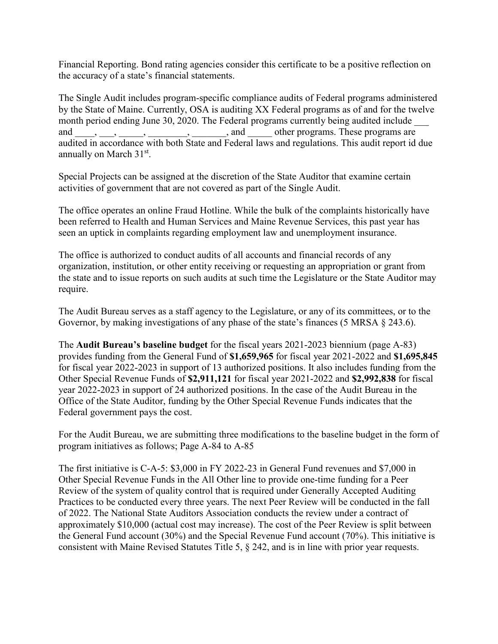Financial Reporting. Bond rating agencies consider this certificate to be a positive reflection on the accuracy of a state's financial statements.

The Single Audit includes program-specific compliance audits of Federal programs administered by the State of Maine. Currently, OSA is auditing XX Federal programs as of and for the twelve month period ending June 30, 2020. The Federal programs currently being audited include and  $\underline{\hspace{1cm}}$ ,  $\underline{\hspace{1cm}}$ ,  $\underline{\hspace{1cm}}$ ,  $\underline{\hspace{1cm}}$ ,  $\underline{\hspace{1cm}}$ , and  $\underline{\hspace{1cm}}$  other programs. These programs are audited in accordance with both State and Federal laws and regulations. This audit report id due annually on March 31st.

Special Projects can be assigned at the discretion of the State Auditor that examine certain activities of government that are not covered as part of the Single Audit.

The office operates an online Fraud Hotline. While the bulk of the complaints historically have been referred to Health and Human Services and Maine Revenue Services, this past year has seen an uptick in complaints regarding employment law and unemployment insurance.

The office is authorized to conduct audits of all accounts and financial records of any organization, institution, or other entity receiving or requesting an appropriation or grant from the state and to issue reports on such audits at such time the Legislature or the State Auditor may require.

The Audit Bureau serves as a staff agency to the Legislature, or any of its committees, or to the Governor, by making investigations of any phase of the state's finances (5 MRSA  $\S$  243.6).

The **Audit Bureau's baseline budget** for the fiscal years 2021-2023 biennium (page A-83) provides funding from the General Fund of **\$1,659,965** for fiscal year 2021-2022 and **\$1,695,845** for fiscal year 2022-2023 in support of 13 authorized positions. It also includes funding from the Other Special Revenue Funds of **\$2,911,121** for fiscal year 2021-2022 and **\$2,992,838** for fiscal year 2022-2023 in support of 24 authorized positions. In the case of the Audit Bureau in the Office of the State Auditor, funding by the Other Special Revenue Funds indicates that the Federal government pays the cost.

For the Audit Bureau, we are submitting three modifications to the baseline budget in the form of program initiatives as follows; Page A-84 to A-85

The first initiative is C-A-5: \$3,000 in FY 2022-23 in General Fund revenues and \$7,000 in Other Special Revenue Funds in the All Other line to provide one-time funding for a Peer Review of the system of quality control that is required under Generally Accepted Auditing Practices to be conducted every three years. The next Peer Review will be conducted in the fall of 2022. The National State Auditors Association conducts the review under a contract of approximately \$10,000 (actual cost may increase). The cost of the Peer Review is split between the General Fund account (30%) and the Special Revenue Fund account (70%). This initiative is consistent with Maine Revised Statutes Title 5, § 242, and is in line with prior year requests.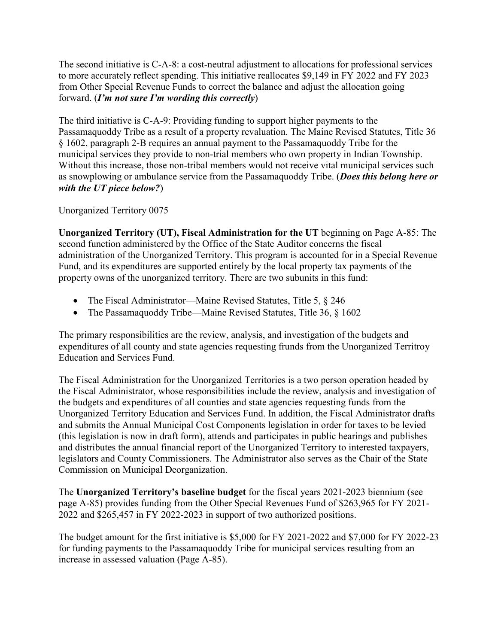The second initiative is C-A-8: a cost-neutral adjustment to allocations for professional services to more accurately reflect spending. This initiative reallocates \$9,149 in FY 2022 and FY 2023 from Other Special Revenue Funds to correct the balance and adjust the allocation going forward. (*I'm not sure I'm wording this correctly*)

The third initiative is C-A-9: Providing funding to support higher payments to the Passamaquoddy Tribe as a result of a property revaluation. The Maine Revised Statutes, Title 36 § 1602, paragraph 2-B requires an annual payment to the Passamaquoddy Tribe for the municipal services they provide to non-trial members who own property in Indian Township. Without this increase, those non-tribal members would not receive vital municipal services such as snowplowing or ambulance service from the Passamaquoddy Tribe. (*Does this belong here or with the UT piece below?*)

Unorganized Territory 0075

**Unorganized Territory (UT), Fiscal Administration for the UT** beginning on Page A-85: The second function administered by the Office of the State Auditor concerns the fiscal administration of the Unorganized Territory. This program is accounted for in a Special Revenue Fund, and its expenditures are supported entirely by the local property tax payments of the property owns of the unorganized territory. There are two subunits in this fund:

- The Fiscal Administrator—Maine Revised Statutes, Title 5, § 246
- The Passamaquoddy Tribe—Maine Revised Statutes, Title 36, § 1602

The primary responsibilities are the review, analysis, and investigation of the budgets and expenditures of all county and state agencies requesting frunds from the Unorganized Territroy Education and Services Fund.

The Fiscal Administration for the Unorganized Territories is a two person operation headed by the Fiscal Administrator, whose responsibilities include the review, analysis and investigation of the budgets and expenditures of all counties and state agencies requesting funds from the Unorganized Territory Education and Services Fund. In addition, the Fiscal Administrator drafts and submits the Annual Municipal Cost Components legislation in order for taxes to be levied (this legislation is now in draft form), attends and participates in public hearings and publishes and distributes the annual financial report of the Unorganized Territory to interested taxpayers, legislators and County Commissioners. The Administrator also serves as the Chair of the State Commission on Municipal Deorganization.

The **Unorganized Territory's baseline budget** for the fiscal years 2021-2023 biennium (see page A-85) provides funding from the Other Special Revenues Fund of \$263,965 for FY 2021- 2022 and \$265,457 in FY 2022-2023 in support of two authorized positions.

The budget amount for the first initiative is \$5,000 for FY 2021-2022 and \$7,000 for FY 2022-23 for funding payments to the Passamaquoddy Tribe for municipal services resulting from an increase in assessed valuation (Page A-85).